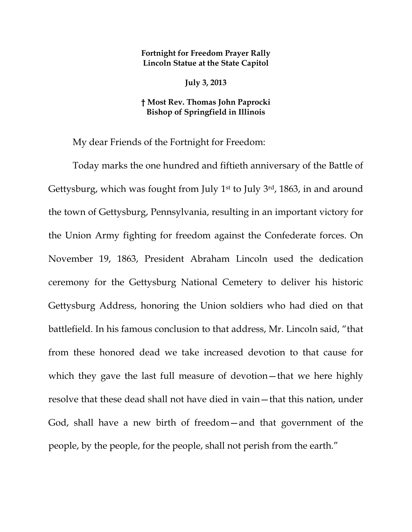## **Fortnight for Freedom Prayer Rally Lincoln Statue at the State Capitol**

**July 3, 2013** 

## **† Most Rev. Thomas John Paprocki Bishop of Springfield in Illinois**

My dear Friends of the Fortnight for Freedom:

Today marks the one hundred and fiftieth anniversary of the Battle of Gettysburg, which was fought from July  $1<sup>st</sup>$  to July  $3<sup>rd</sup>$ , 1863, in and around the town of Gettysburg, Pennsylvania, resulting in an important victory for the Union Army fighting for freedom against the Confederate forces. On November 19, 1863, President Abraham Lincoln used the dedication ceremony for the Gettysburg National Cemetery to deliver his historic Gettysburg Address, honoring the Union soldiers who had died on that battlefield. In his famous conclusion to that address, Mr. Lincoln said, "that from these honored dead we take increased devotion to that cause for which they gave the last full measure of devotion—that we here highly resolve that these dead shall not have died in vain—that this nation, under God, shall have a new birth of freedom—and that government of the people, by the people, for the people, shall not perish from the earth."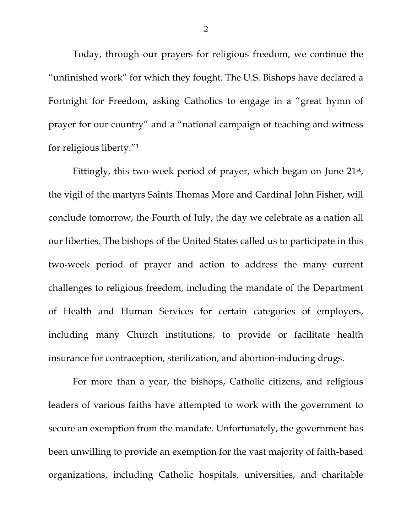Today, through our prayers for religious freedom, we continue the "unfinished work" for which they fought. The U.S. Bishops have declared a Fortnight for Freedom, asking Catholics to engage in a "great hymn of prayer for our country" and a "national campaign of teaching and witness for religious liberty."1

Fittingly, this two-week period of prayer, which began on June 21<sup>st</sup>, the vigil of the martyrs Saints Thomas More and Cardinal John Fisher, will conclude tomorrow, the Fourth of July, the day we celebrate as a nation all our liberties. The bishops of the United States called us to participate in this two-week period of prayer and action to address the many current challenges to religious freedom, including the mandate of the Department of Health and Human Services for certain categories of employers, including many Church institutions, to provide or facilitate health insurance for contraception, sterilization, and abortion-inducing drugs.

For more than a year, the bishops, Catholic citizens, and religious leaders of various faiths have attempted to work with the government to secure an exemption from the mandate. Unfortunately, the government has been unwilling to provide an exemption for the vast majority of faith-based organizations, including Catholic hospitals, universities, and charitable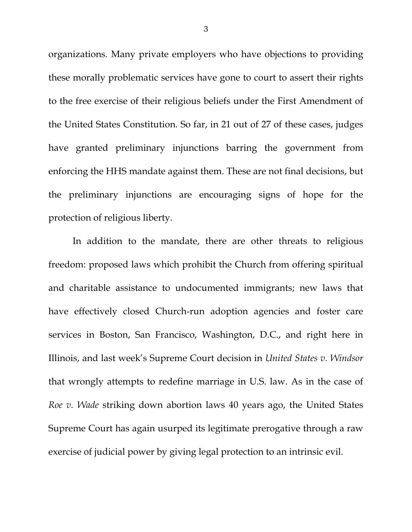organizations. Many private employers who have objections to providing these morally problematic services have gone to court to assert their rights to the free exercise of their religious beliefs under the First Amendment of the United States Constitution. So far, in 21 out of 27 of these cases, judges have granted preliminary injunctions barring the government from enforcing the HHS mandate against them. These are not final decisions, but the preliminary injunctions are encouraging signs of hope for the protection of religious liberty.

In addition to the mandate, there are other threats to religious freedom: proposed laws which prohibit the Church from offering spiritual and charitable assistance to undocumented immigrants; new laws that have effectively closed Church-run adoption agencies and foster care services in Boston, San Francisco, Washington, D.C., and right here in Illinois, and last week's Supreme Court decision in *United States v. Windsor*  that wrongly attempts to redefine marriage in U.S. law. As in the case of *Roe v. Wade* striking down abortion laws 40 years ago, the United States Supreme Court has again usurped its legitimate prerogative through a raw exercise of judicial power by giving legal protection to an intrinsic evil.

3